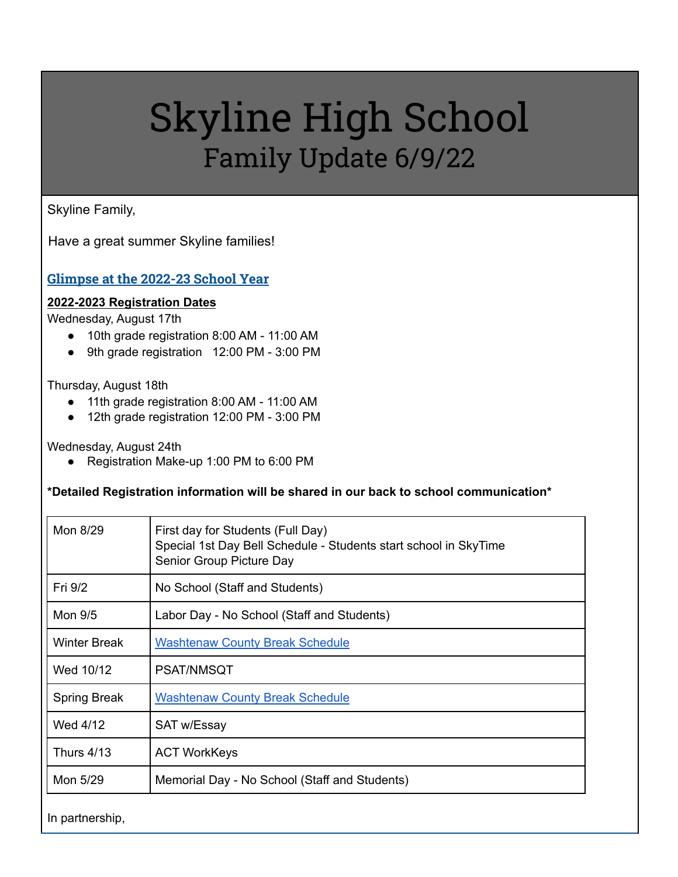# Skyline High School Family Update 6/9/22

#### Skyline Family,

Have a great summer Skyline families!

#### <span id="page-0-0"></span>**Glimpse at the 2022-23 School Year**

#### **2022-2023 Registration Dates**

Wednesday, August 17th

- 10th grade registration 8:00 AM 11:00 AM
- 9th grade registration 12:00 PM 3:00 PM

Thursday, August 18th

- 11th grade registration 8:00 AM 11:00 AM
- 12th grade registration 12:00 PM 3:00 PM

Wednesday, August 24th

● Registration Make-up 1:00 PM to 6:00 PM

#### **\*Detailed Registration information will be shared in our back to school communication\***

| Mon 8/29            | First day for Students (Full Day)<br>Special 1st Day Bell Schedule - Students start school in SkyTime<br>Senior Group Picture Day |
|---------------------|-----------------------------------------------------------------------------------------------------------------------------------|
| Fri 9/2             | No School (Staff and Students)                                                                                                    |
| Mon 9/5             | Labor Day - No School (Staff and Students)                                                                                        |
| <b>Winter Break</b> | <b>Washtenaw County Break Schedule</b>                                                                                            |
| Wed 10/12           | <b>PSAT/NMSQT</b>                                                                                                                 |
| <b>Spring Break</b> | <b>Washtenaw County Break Schedule</b>                                                                                            |
| Wed 4/12            | SAT w/Essay                                                                                                                       |
| Thurs 4/13          | <b>ACT WorkKeys</b>                                                                                                               |
| Mon 5/29            | Memorial Day - No School (Staff and Students)                                                                                     |
|                     |                                                                                                                                   |

In partnership,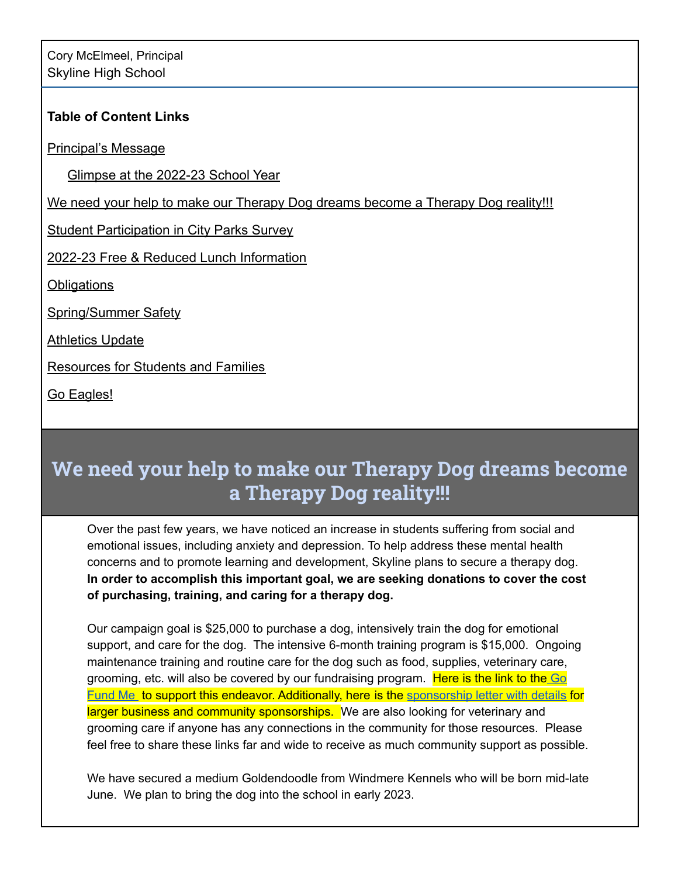#### **Table of Content Links**

Principal's Message

[Glimpse at the 2022-23 School Year](#page-0-0)

[We need your help to make our Therapy Dog dreams become a Therapy Dog reality!!!](#page-1-0)

**[Student Participation in City Parks Survey](#page-2-0)** 

[2022-23 Free & Reduced Lunch Information](#page-2-1)

**[Obligations](#page-2-2)** 

Spring/Summer Safety

**[Athletics Update](#page-2-3)** 

[Resources for Students and Families](#page-3-0)

[Go Eagles!](#page-3-1)

# <span id="page-1-0"></span>**We need your help to make our Therapy Dog dreams become a Therapy Dog reality!!!**

Over the past few years, we have noticed an increase in students suffering from social and emotional issues, including anxiety and depression. To help address these mental health concerns and to promote learning and development, Skyline plans to secure a therapy dog. **In order to accomplish this important goal, we are seeking donations to cover the cost of purchasing, training, and caring for a therapy dog.**

Our campaign goal is \$25,000 to purchase a dog, intensively train the dog for emotional support, and care for the dog. The intensive 6-month training program is \$15,000. Ongoing maintenance training and routine care for the dog such as food, supplies, veterinary care, grooming, etc. will also be covered by our fundraising program. Here is the link to the [Go](https://gofund.me/278f8949) [Fund](https://gofund.me/278f8949) Me to support this endeavor. Additionally, here is the [sponsorship](https://docs.google.com/document/d/1HCtQOMmlc9dk3hBt4aTu4A7lMr2LLs5dDpiwUK3A3Ac/edit?usp=sharing) letter with details for larger business and community sponsorships. We are also looking for veterinary and grooming care if anyone has any connections in the community for those resources. Please feel free to share these links far and wide to receive as much community support as possible.

We have secured a medium Goldendoodle from Windmere Kennels who will be born mid-late June. We plan to bring the dog into the school in early 2023.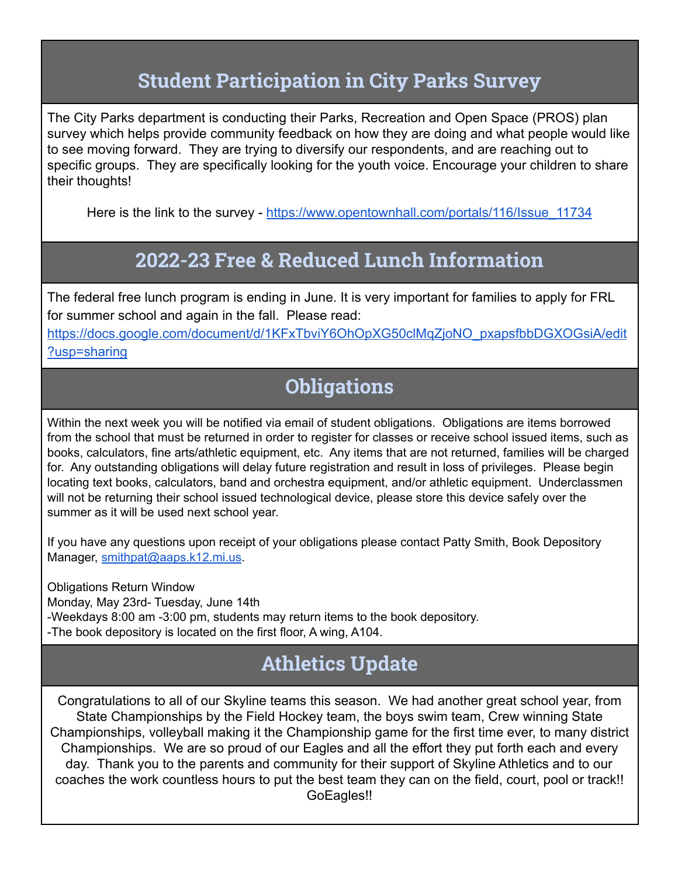### **Student Participation in City Parks Survey**

<span id="page-2-0"></span>The City Parks department is conducting their Parks, Recreation and Open Space (PROS) plan survey which helps provide community feedback on how they are doing and what people would like to see moving forward. They are trying to diversify our respondents, and are reaching out to specific groups. They are specifically looking for the youth voice. Encourage your children to share their thoughts!

Here is the link to the survey - [https://www.opentownhall.com/portals/116/Issue\\_11734](https://www.opentownhall.com/portals/116/Issue_11734)

### **2022-23 Free & Reduced Lunch Information**

<span id="page-2-1"></span>The federal free lunch program is ending in June. It is very important for families to apply for FRL for summer school and again in the fall. Please read:

[https://docs.google.com/document/d/1KFxTbviY6OhOpXG50clMqZjoNO\\_pxapsfbbDGXOGsiA/edit](https://docs.google.com/document/d/1KFxTbviY6OhOpXG50clMqZjoNO_pxapsfbbDGXOGsiA/edit?usp=sharing) [?usp=sharing](https://docs.google.com/document/d/1KFxTbviY6OhOpXG50clMqZjoNO_pxapsfbbDGXOGsiA/edit?usp=sharing)

## **Obligations**

<span id="page-2-2"></span>Within the next week you will be notified via email of student obligations. Obligations are items borrowed from the school that must be returned in order to register for classes or receive school issued items, such as books, calculators, fine arts/athletic equipment, etc. Any items that are not returned, families will be charged for. Any outstanding obligations will delay future registration and result in loss of privileges. Please begin locating text books, calculators, band and orchestra equipment, and/or athletic equipment. Underclassmen will not be returning their school issued technological device, please store this device safely over the summer as it will be used next school year.

If you have any questions upon receipt of your obligations please contact Patty Smith, Book Depository Manager, [smithpat@aaps.k12.mi.us](mailto:smithpat@aaps.k12.mi.us).

Obligations Return Window Monday, May 23rd- Tuesday, June 14th -Weekdays 8:00 am -3:00 pm, students may return items to the book depository. -The book depository is located on the first floor, A wing, A104.

## **Athletics Update**

<span id="page-2-3"></span>Congratulations to all of our Skyline teams this season. We had another great school year, from State Championships by the Field Hockey team, the boys swim team, Crew winning State Championships, volleyball making it the Championship game for the first time ever, to many district Championships. We are so proud of our Eagles and all the effort they put forth each and every day. Thank you to the parents and community for their support of Skyline Athletics and to our coaches the work countless hours to put the best team they can on the field, court, pool or track!! GoEagles!!